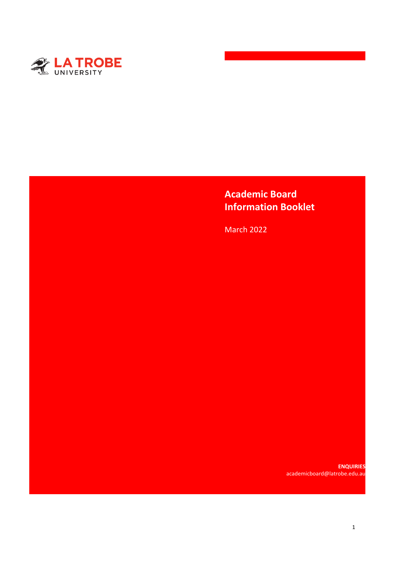

# **Academic Board Information Booklet**

March 2022

**ENQUIRIES**  academicboard@latrobe.edu.au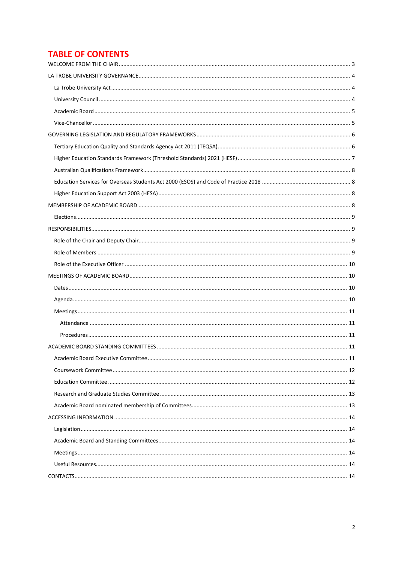# **TABLE OF CONTENTS**

| Academic Board Executive Committee | 11 |
|------------------------------------|----|
|                                    |    |
|                                    |    |
|                                    |    |
|                                    |    |
|                                    |    |
|                                    |    |
|                                    |    |
|                                    |    |
|                                    |    |
|                                    |    |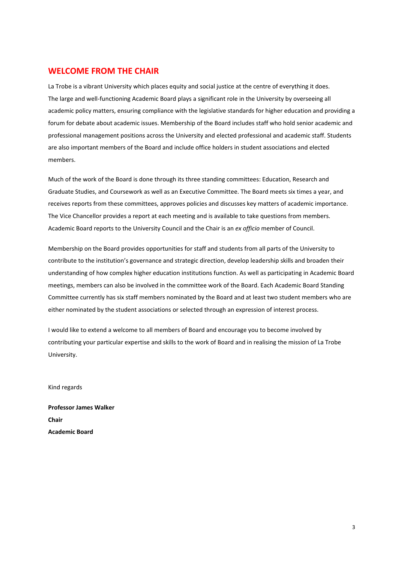### <span id="page-2-0"></span>**WELCOME FROM THE CHAIR**

La Trobe is a vibrant University which places equity and social justice at the centre of everything it does. The large and well-functioning Academic Board plays a significant role in the University by overseeing all academic policy matters, ensuring compliance with the legislative standards for higher education and providing a forum for debate about academic issues. Membership of the Board includes staff who hold senior academic and professional management positions across the University and elected professional and academic staff. Students are also important members of the Board and include office holders in student associations and elected members.

Much of the work of the Board is done through its three standing committees: Education, Research and Graduate Studies, and Coursework as well as an Executive Committee. The Board meets six times a year, and receives reports from these committees, approves policies and discusses key matters of academic importance. The Vice Chancellor provides a report at each meeting and is available to take questions from members. Academic Board reports to the University Council and the Chair is an *ex officio* member of Council.

Membership on the Board provides opportunities for staff and students from all parts of the University to contribute to the institution's governance and strategic direction, develop leadership skills and broaden their understanding of how complex higher education institutions function. As well as participating in Academic Board meetings, members can also be involved in the committee work of the Board. Each Academic Board Standing Committee currently has six staff members nominated by the Board and at least two student members who are either nominated by the student associations or selected through an expression of interest process.

I would like to extend a welcome to all members of Board and encourage you to become involved by contributing your particular expertise and skills to the work of Board and in realising the mission of La Trobe University.

Kind regards

**Professor James Walker Chair Academic Board**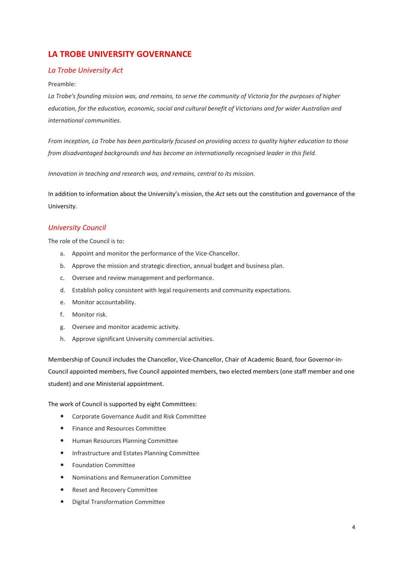# <span id="page-3-0"></span>**LA TROBE UNIVERSITY GOVERNANCE**

### <span id="page-3-1"></span>*La Trobe University Act*

#### Preamble:

*La Trobe's founding mission was, and remains, to serve the community of Victoria for the purposes of higher education, for the education, economic, social and cultural benefit of Victorians and for wider Australian and international communities.* 

*From inception, La Trobe has been particularly focused on providing access to quality higher education to those from disadvantaged backgrounds and has become an internationally recognised leader in this field.* 

*Innovation in teaching and research was, and remains, central to its mission.* 

In addition to information about the University's mission, the *Act* sets out the constitution and governance of the University.

### <span id="page-3-2"></span>*University Council*

The role of the Council is to:

- a. Appoint and monitor the performance of the Vice-Chancellor.
- b. Approve the mission and strategic direction, annual budget and business plan.
- c. Oversee and review management and performance.
- d. Establish policy consistent with legal requirements and community expectations.
- e. Monitor accountability.
- f. Monitor risk.
- g. Oversee and monitor academic activity.
- h. Approve significant University commercial activities.

Membership of Council includes the Chancellor, Vice-Chancellor, Chair of Academic Board, four Governor-in-Council appointed members, five Council appointed members, two elected members (one staff member and one student) and one Ministerial appointment.

The work of Council is supported by eight Committees:

- Corporate Governance Audit and Risk Committee
- Finance and Resources Committee
- Human Resources Planning Committee
- **•** Infrastructure and Estates Planning Committee
- Foundation Committee
- Nominations and Remuneration Committee
- Reset and Recovery Committee
- Digital Transformation Committee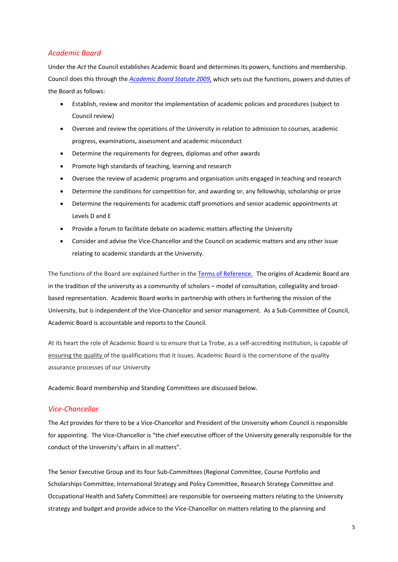### <span id="page-4-0"></span>*Academic Board*

Under the *Act* the Council establishes Academic Board and determines its powers, functions and membership. Council does this through the *[Academic Board Statute 2009,](https://www.latrobe.edu.au/__data/assets/file/0003/155406/Academic-Board-Statute-2009.pdf)* which sets out the functions, powers and duties of the Board as follows:

- Establish, review and monitor the implementation of academic policies and procedures (subject to Council review)
- Oversee and review the operations of the University in relation to admission to courses, academic progress, examinations, assessment and academic misconduct
- Determine the requirements for degrees, diplomas and other awards
- Promote high standards of teaching, learning and research
- Oversee the review of academic programs and organisation units engaged in teaching and research
- Determine the conditions for competition for, and awarding or, any fellowship, scholarship or prize
- Determine the requirements for academic staff promotions and senior academic appointments at Levels D and E
- Provide a forum to facilitate debate on academic matters affecting the University
- Consider and advise the Vice-Chancellor and the Council on academic matters and any other issue relating to academic standards at the University.

The functions of the Board are explained further in th[e Terms of Reference.](https://www.latrobe.edu.au/__data/assets/pdf_file/0007/185272/Academic-Board.pdf) The origins of Academic Board are in the tradition of the university as a community of scholars – model of consultation, collegiality and broadbased representation. Academic Board works in partnership with others in furthering the mission of the University, but is independent of the Vice-Chancellor and senior management. As a Sub-Committee of Council, Academic Board is accountable and reports to the Council.

At its heart the role of Academic Board is to ensure that La Trobe, as a self-accrediting institution, is capable of ensuring the quality of the qualifications that it issues. Academic Board is the cornerstone of the quality assurance processes of our University

Academic Board membership and Standing Committees are discussed below.

### <span id="page-4-1"></span>*Vice-Chancellor*

The *Act* provides for there to be a Vice-Chancellor and President of the University whom Council is responsible for appointing. The Vice-Chancellor is "the chief executive officer of the University generally responsible for the conduct of the University's affairs in all matters".

The Senior Executive Group and its four Sub-Committees (Regional Committee, Course Portfolio and Scholarships Committee, International Strategy and Policy Committee, Research Strategy Committee and Occupational Health and Safety Committee) are responsible for overseeing matters relating to the University strategy and budget and provide advice to the Vice-Chancellor on matters relating to the planning and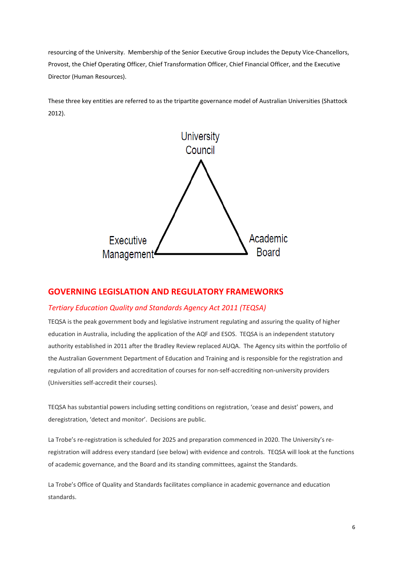resourcing of the University. Membership of the Senior Executive Group includes the Deputy Vice-Chancellors, Provost, the Chief Operating Officer, Chief Transformation Officer, Chief Financial Officer, and the Executive Director (Human Resources).

These three key entities are referred to as the tripartite governance model of Australian Universities (Shattock 2012).



### <span id="page-5-0"></span>**GOVERNING LEGISLATION AND REGULATORY FRAMEWORKS**

### <span id="page-5-1"></span>*Tertiary Education Quality and Standards Agency Act 2011 (TEQSA)*

TEQSA is the peak government body and legislative instrument regulating and assuring the quality of higher education in Australia, including the application of the AQF and ESOS. TEQSA is an independent statutory authority established in 2011 after the Bradley Review replaced AUQA. The Agency sits within the portfolio of the Australian Government Department of Education and Training and is responsible for the registration and regulation of all providers and accreditation of courses for non-self-accrediting non-university providers (Universities self-accredit their courses).

TEQSA has substantial powers including setting conditions on registration, 'cease and desist' powers, and deregistration, 'detect and monitor'. Decisions are public.

La Trobe's re-registration is scheduled for 2025 and preparation commenced in 2020. The University's reregistration will address every standard (see below) with evidence and controls. TEQSA will look at the functions of academic governance, and the Board and its standing committees, against the Standards.

La Trobe's Office of Quality and Standards facilitates compliance in academic governance and education standards.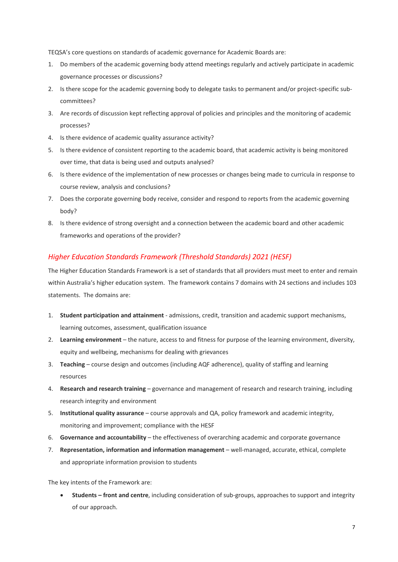TEQSA's core questions on standards of academic governance for Academic Boards are:

- 1. Do members of the academic governing body attend meetings regularly and actively participate in academic governance processes or discussions?
- 2. Is there scope for the academic governing body to delegate tasks to permanent and/or project-specific subcommittees?
- 3. Are records of discussion kept reflecting approval of policies and principles and the monitoring of academic processes?
- 4. Is there evidence of academic quality assurance activity?
- 5. Is there evidence of consistent reporting to the academic board, that academic activity is being monitored over time, that data is being used and outputs analysed?
- 6. Is there evidence of the implementation of new processes or changes being made to curricula in response to course review, analysis and conclusions?
- 7. Does the corporate governing body receive, consider and respond to reports from the academic governing body?
- 8. Is there evidence of strong oversight and a connection between the academic board and other academic frameworks and operations of the provider?

### <span id="page-6-0"></span>*Higher Education Standards Framework (Threshold Standards) 2021 (HESF)*

The Higher Education Standards Framework is a set of standards that all providers must meet to enter and remain within Australia's higher education system. The framework contains 7 domains with 24 sections and includes 103 statements. The domains are:

- 1. **Student participation and attainment** admissions, credit, transition and academic support mechanisms, learning outcomes, assessment, qualification issuance
- 2. **Learning environment** the nature, access to and fitness for purpose of the learning environment, diversity, equity and wellbeing, mechanisms for dealing with grievances
- 3. **Teaching** course design and outcomes (including AQF adherence), quality of staffing and learning resources
- 4. **Research and research training** governance and management of research and research training, including research integrity and environment
- 5. **Institutional quality assurance** course approvals and QA, policy framework and academic integrity, monitoring and improvement; compliance with the HESF
- 6. **Governance and accountability** the effectiveness of overarching academic and corporate governance
- 7. **Representation, information and information management** well-managed, accurate, ethical, complete and appropriate information provision to students

The key intents of the Framework are:

• **Students – front and centre**, including consideration of sub-groups, approaches to support and integrity of our approach.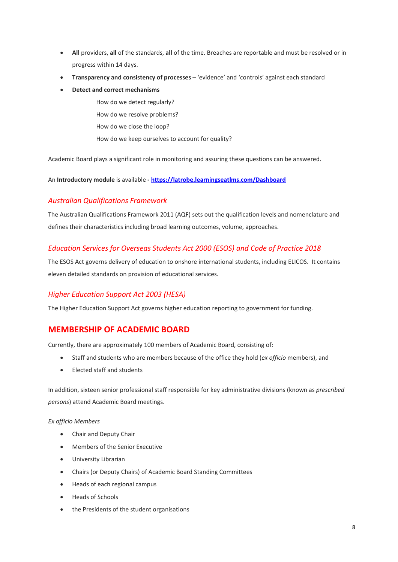- **All** providers, **all** of the standards, **all** of the time. Breaches are reportable and must be resolved or in progress within 14 days.
- **Transparency and consistency of processes** 'evidence' and 'controls' against each standard
- **Detect and correct mechanisms**

How do we detect regularly? How do we resolve problems? How do we close the loop?

How do we keep ourselves to account for quality?

Academic Board plays a significant role in monitoring and assuring these questions can be answered.

An **Introductory module** is available **- <https://latrobe.learningseatlms.com/Dashboard>**

### <span id="page-7-0"></span>*Australian Qualifications Framework*

The Australian Qualifications Framework 2011 (AQF) sets out the qualification levels and nomenclature and defines their characteristics including broad learning outcomes, volume, approaches.

### <span id="page-7-1"></span>*Education Services for Overseas Students Act 2000 (ESOS) and Code of Practice 2018*

The ESOS Act governs delivery of education to onshore international students, including ELICOS. It contains eleven detailed standards on provision of educational services.

### <span id="page-7-2"></span>*Higher Education Support Act 2003 (HESA)*

The Higher Education Support Act governs higher education reporting to government for funding.

### <span id="page-7-3"></span>**MEMBERSHIP OF ACADEMIC BOARD**

Currently, there are approximately 100 members of Academic Board, consisting of:

- Staff and students who are members because of the office they hold (*ex officio* members), and
- Elected staff and students

In addition, sixteen senior professional staff responsible for key administrative divisions (known as *prescribed persons*) attend Academic Board meetings.

#### *Ex officio Members*

- Chair and Deputy Chair
- Members of the Senior Executive
- University Librarian
- Chairs (or Deputy Chairs) of Academic Board Standing Committees
- Heads of each regional campus
- Heads of Schools
- the Presidents of the student organisations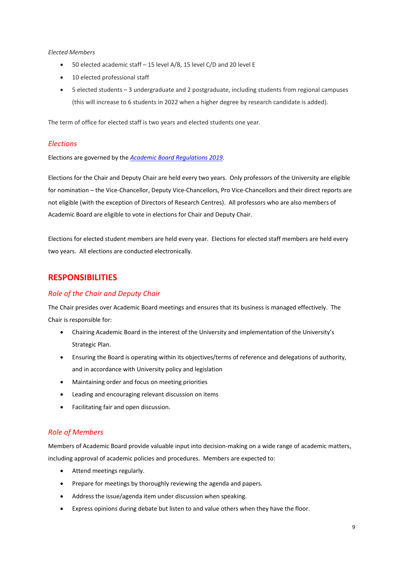#### *Elected Members*

- 50 elected academic staff 15 level A/B, 15 level C/D and 20 level E
- 10 elected professional staff
- 5 elected students 3 undergraduate and 2 postgraduate, including students from regional campuses (this will increase to 6 students in 2022 when a higher degree by research candidate is added).

The term of office for elected staff is two years and elected students one year.

### <span id="page-8-0"></span>*Elections*

Elections are governed by the *[Academic Board Regulations 2019.](https://www.latrobe.edu.au/__data/assets/pdf_file/0004/1041727/Academic-Board-Regulations-2019.pdf)* 

Elections for the Chair and Deputy Chair are held every two years. Only professors of the University are eligible for nomination – the Vice-Chancellor, Deputy Vice-Chancellors, Pro Vice-Chancellors and their direct reports are not eligible (with the exception of Directors of Research Centres). All professors who are also members of Academic Board are eligible to vote in elections for Chair and Deputy Chair.

Elections for elected student members are held every year. Elections for elected staff members are held every two years. All elections are conducted electronically.

## <span id="page-8-1"></span>**RESPONSIBILITIES**

### <span id="page-8-2"></span>*Role of the Chair and Deputy Chair*

The Chair presides over Academic Board meetings and ensures that its business is managed effectively. The Chair is responsible for:

- Chairing Academic Board in the interest of the University and implementation of the University's Strategic Plan.
- Ensuring the Board is operating within its objectives/terms of reference and delegations of authority, and in accordance with University policy and legislation
- Maintaining order and focus on meeting priorities
- Leading and encouraging relevant discussion on items
- Facilitating fair and open discussion.

### <span id="page-8-3"></span>*Role of Members*

Members of Academic Board provide valuable input into decision-making on a wide range of academic matters, including approval of academic policies and procedures. Members are expected to:

- Attend meetings regularly.
- Prepare for meetings by thoroughly reviewing the agenda and papers.
- Address the issue/agenda item under discussion when speaking.
- Express opinions during debate but listen to and value others when they have the floor.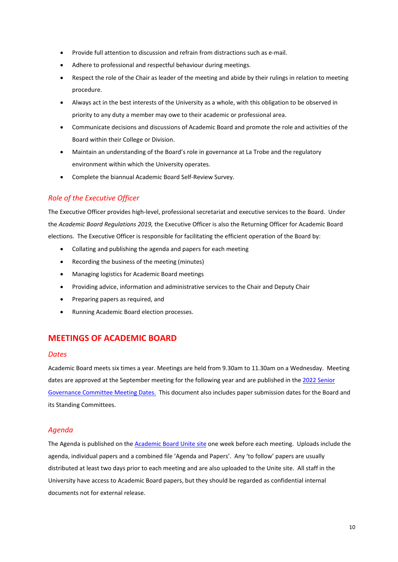- Provide full attention to discussion and refrain from distractions such as e-mail.
- Adhere to professional and respectful behaviour during meetings.
- Respect the role of the Chair as leader of the meeting and abide by their rulings in relation to meeting procedure.
- Always act in the best interests of the University as a whole, with this obligation to be observed in priority to any duty a member may owe to their academic or professional area.
- Communicate decisions and discussions of Academic Board and promote the role and activities of the Board within their College or Division.
- Maintain an understanding of the Board's role in governance at La Trobe and the regulatory environment within which the University operates.
- Complete the biannual Academic Board Self-Review Survey.

### <span id="page-9-0"></span>*Role of the Executive Officer*

The Executive Officer provides high-level, professional secretariat and executive services to the Board. Under the *Academic Board Regulations 2019,* the Executive Officer is also the Returning Officer for Academic Board elections. The Executive Officer is responsible for facilitating the efficient operation of the Board by:

- Collating and publishing the agenda and papers for each meeting
- Recording the business of the meeting (minutes)
- Managing logistics for Academic Board meetings
- Providing advice, information and administrative services to the Chair and Deputy Chair
- Preparing papers as required, and
- Running Academic Board election processes.

# <span id="page-9-1"></span>**MEETINGS OF ACADEMIC BOARD**

### <span id="page-9-2"></span>*Dates*

Academic Board meets six times a year. Meetings are held from 9.30am to 11.30am on a Wednesday. Meeting dates are approved at the September meeting for the following year and are published in the 2022 [Senior](https://intranet.latrobe.edu.au/__data/assets/pdf_file/0024/265335/Senior-Governance-Committee-Meeting-Dates-2022-Final.pdf)  [Governance Committee Meeting Dates.](https://intranet.latrobe.edu.au/__data/assets/pdf_file/0024/265335/Senior-Governance-Committee-Meeting-Dates-2022-Final.pdf) This document also includes paper submission dates for the Board and its Standing Committees.

### <span id="page-9-3"></span>*Agenda*

The Agenda is published on th[e Academic Board Unite site](https://unite.latrobe.edu.au/sites/sc/sgc/abc/default.aspx) one week before each meeting. Uploads include the agenda, individual papers and a combined file 'Agenda and Papers'. Any 'to follow' papers are usually distributed at least two days prior to each meeting and are also uploaded to the Unite site. All staff in the University have access to Academic Board papers, but they should be regarded as confidential internal documents not for external release.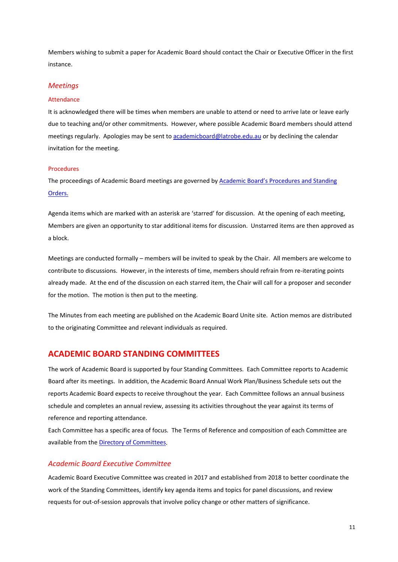Members wishing to submit a paper for Academic Board should contact the Chair or Executive Officer in the first instance.

#### <span id="page-10-0"></span>*Meetings*

#### <span id="page-10-1"></span>Attendance

It is acknowledged there will be times when members are unable to attend or need to arrive late or leave early due to teaching and/or other commitments. However, where possible Academic Board members should attend meetings regularly. Apologies may be sent t[o academicboard@latrobe.edu.au](mailto:academicboard@latrobe.edu.au) or by declining the calendar invitation for the meeting.

#### <span id="page-10-2"></span>Procedures

The proceedings of Academic Board meetings are governed by [Academic Board's Procedures and Standing](https://www.latrobe.edu.au/__data/assets/pdf_file/0020/147323/AB-Standing-Orders.pdf)  [Orders.](https://www.latrobe.edu.au/__data/assets/pdf_file/0020/147323/AB-Standing-Orders.pdf) 

Agenda items which are marked with an asterisk are 'starred' for discussion. At the opening of each meeting, Members are given an opportunity to star additional items for discussion. Unstarred items are then approved as a block.

Meetings are conducted formally – members will be invited to speak by the Chair. All members are welcome to contribute to discussions. However, in the interests of time, members should refrain from re-iterating points already made. At the end of the discussion on each starred item, the Chair will call for a proposer and seconder for the motion. The motion is then put to the meeting.

The Minutes from each meeting are published on the Academic Board Unite site. Action memos are distributed to the originating Committee and relevant individuals as required.

### <span id="page-10-3"></span>**ACADEMIC BOARD STANDING COMMITTEES**

The work of Academic Board is supported by four Standing Committees. Each Committee reports to Academic Board after its meetings. In addition, the Academic Board Annual Work Plan/Business Schedule sets out the reports Academic Board expects to receive throughout the year. Each Committee follows an annual business schedule and completes an annual review, assessing its activities throughout the year against its terms of reference and reporting attendance.

Each Committee has a specific area of focus. The Terms of Reference and composition of each Committee are available from the [Directory of Committees.](https://www.latrobe.edu.au/about/governance/committees/directory-committees)

#### <span id="page-10-4"></span>*Academic Board Executive Committee*

Academic Board Executive Committee was created in 2017 and established from 2018 to better coordinate the work of the Standing Committees, identify key agenda items and topics for panel discussions, and review requests for out-of-session approvals that involve policy change or other matters of significance.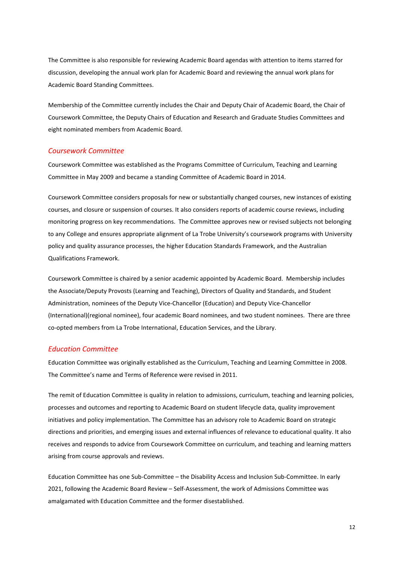The Committee is also responsible for reviewing Academic Board agendas with attention to items starred for discussion, developing the annual work plan for Academic Board and reviewing the annual work plans for Academic Board Standing Committees.

Membership of the Committee currently includes the Chair and Deputy Chair of Academic Board, the Chair of Coursework Committee, the Deputy Chairs of Education and Research and Graduate Studies Committees and eight nominated members from Academic Board.

#### <span id="page-11-0"></span>*Coursework Committee*

Coursework Committee was established as the Programs Committee of Curriculum, Teaching and Learning Committee in May 2009 and became a standing Committee of Academic Board in 2014.

Coursework Committee considers proposals for new or substantially changed courses, new instances of existing courses, and closure or suspension of courses. It also considers reports of academic course reviews, including monitoring progress on key recommendations. The Committee approves new or revised subjects not belonging to any College and ensures appropriate alignment of La Trobe University's coursework programs with University policy and quality assurance processes, the higher Education Standards Framework, and the Australian Qualifications Framework.

Coursework Committee is chaired by a senior academic appointed by Academic Board. Membership includes the Associate/Deputy Provosts (Learning and Teaching), Directors of Quality and Standards, and Student Administration, nominees of the Deputy Vice-Chancellor (Education) and Deputy Vice-Chancellor (International)(regional nominee), four academic Board nominees, and two student nominees. There are three co-opted members from La Trobe International, Education Services, and the Library.

#### <span id="page-11-1"></span>*Education Committee*

Education Committee was originally established as the Curriculum, Teaching and Learning Committee in 2008. The Committee's name and Terms of Reference were revised in 2011.

The remit of Education Committee is quality in relation to admissions, curriculum, teaching and learning policies, processes and outcomes and reporting to Academic Board on student lifecycle data, quality improvement initiatives and policy implementation. The Committee has an advisory role to Academic Board on strategic directions and priorities, and emerging issues and external influences of relevance to educational quality. It also receives and responds to advice from Coursework Committee on curriculum, and teaching and learning matters arising from course approvals and reviews.

Education Committee has one Sub-Committee – the Disability Access and Inclusion Sub-Committee. In early 2021, following the Academic Board Review – Self-Assessment, the work of Admissions Committee was amalgamated with Education Committee and the former disestablished.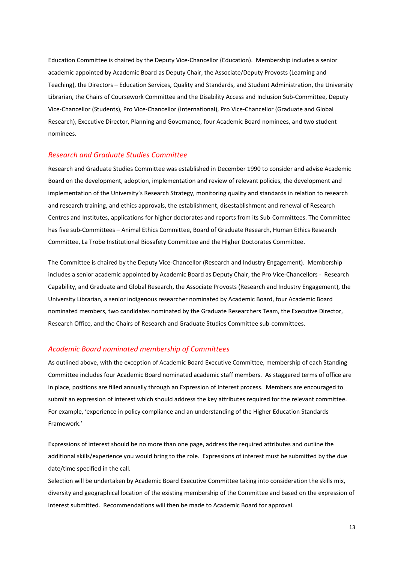Education Committee is chaired by the Deputy Vice-Chancellor (Education). Membership includes a senior academic appointed by Academic Board as Deputy Chair, the Associate/Deputy Provosts (Learning and Teaching), the Directors – Education Services, Quality and Standards, and Student Administration, the University Librarian, the Chairs of Coursework Committee and the Disability Access and Inclusion Sub-Committee, Deputy Vice-Chancellor (Students), Pro Vice-Chancellor (International), Pro Vice-Chancellor (Graduate and Global Research), Executive Director, Planning and Governance, four Academic Board nominees, and two student nominees.

#### <span id="page-12-0"></span>*Research and Graduate Studies Committee*

Research and Graduate Studies Committee was established in December 1990 to consider and advise Academic Board on the development, adoption, implementation and review of relevant policies, the development and implementation of the University's Research Strategy, monitoring quality and standards in relation to research and research training, and ethics approvals, the establishment, disestablishment and renewal of Research Centres and Institutes, applications for higher doctorates and reports from its Sub-Committees. The Committee has five sub-Committees – Animal Ethics Committee, Board of Graduate Research, Human Ethics Research Committee, La Trobe Institutional Biosafety Committee and the Higher Doctorates Committee.

The Committee is chaired by the Deputy Vice-Chancellor (Research and Industry Engagement). Membership includes a senior academic appointed by Academic Board as Deputy Chair, the Pro Vice-Chancellors - Research Capability, and Graduate and Global Research, the Associate Provosts (Research and Industry Engagement), the University Librarian, a senior indigenous researcher nominated by Academic Board, four Academic Board nominated members, two candidates nominated by the Graduate Researchers Team, the Executive Director, Research Office, and the Chairs of Research and Graduate Studies Committee sub-committees.

### <span id="page-12-1"></span>*Academic Board nominated membership of Committees*

As outlined above, with the exception of Academic Board Executive Committee, membership of each Standing Committee includes four Academic Board nominated academic staff members. As staggered terms of office are in place, positions are filled annually through an Expression of Interest process. Members are encouraged to submit an expression of interest which should address the key attributes required for the relevant committee. For example, 'experience in policy compliance and an understanding of the Higher Education Standards Framework.'

Expressions of interest should be no more than one page, address the required attributes and outline the additional skills/experience you would bring to the role. Expressions of interest must be submitted by the due date/time specified in the call.

Selection will be undertaken by Academic Board Executive Committee taking into consideration the skills mix, diversity and geographical location of the existing membership of the Committee and based on the expression of interest submitted. Recommendations will then be made to Academic Board for approval.